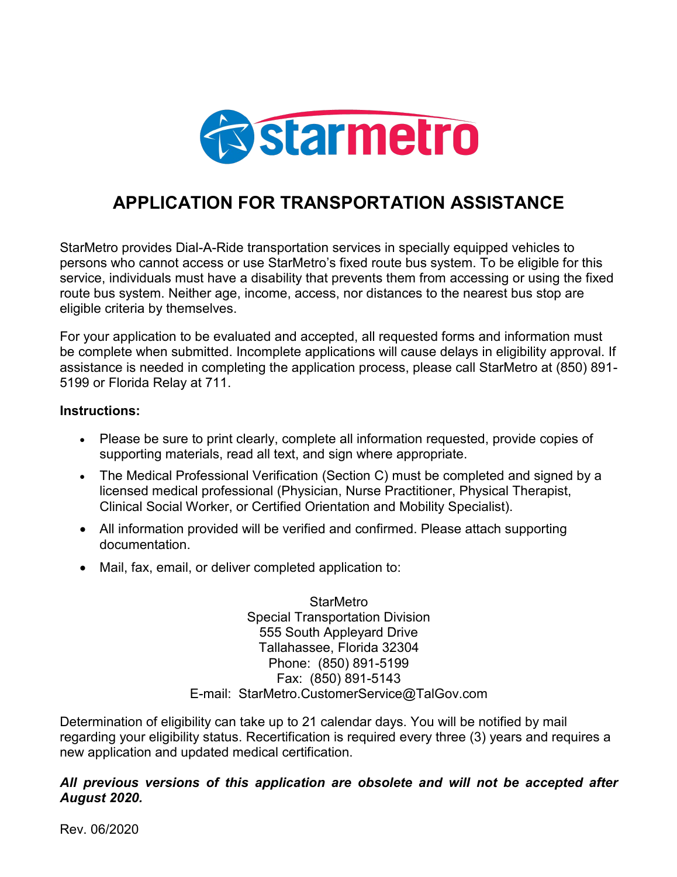

## **APPLICATION FOR TRANSPORTATION ASSISTANCE**

StarMetro provides Dial-A-Ride transportation services in specially equipped vehicles to persons who cannot access or use StarMetro's fixed route bus system. To be eligible for this service, individuals must have a disability that prevents them from accessing or using the fixed route bus system. Neither age, income, access, nor distances to the nearest bus stop are eligible criteria by themselves.

For your application to be evaluated and accepted, all requested forms and information must be complete when submitted. Incomplete applications will cause delays in eligibility approval. If assistance is needed in completing the application process, please call StarMetro at (850) 891- 5199 or Florida Relay at 711.

#### **Instructions:**

- · Please be sure to print clearly, complete all information requested, provide copies of supporting materials, read all text, and sign where appropriate.
- · The Medical Professional Verification (Section C) must be completed and signed by a licensed medical professional (Physician, Nurse Practitioner, Physical Therapist, Clinical Social Worker, or Certified Orientation and Mobility Specialist).
- · All information provided will be verified and confirmed. Please attach supporting documentation.
- · Mail, fax, email, or deliver completed application to:

**StarMetro** Special Transportation Division 555 South Appleyard Drive Tallahassee, Florida 32304 Phone: (850) 891-5199 Fax: (850) 891-5143 E-mail: StarMetro.CustomerService@TalGov.com

Determination of eligibility can take up to 21 calendar days. You will be notified by mail regarding your eligibility status. Recertification is required every three (3) years and requires a new application and updated medical certification.

#### *All previous versions of this application are obsolete and will not be accepted after August 2020.*

Rev. 06/2020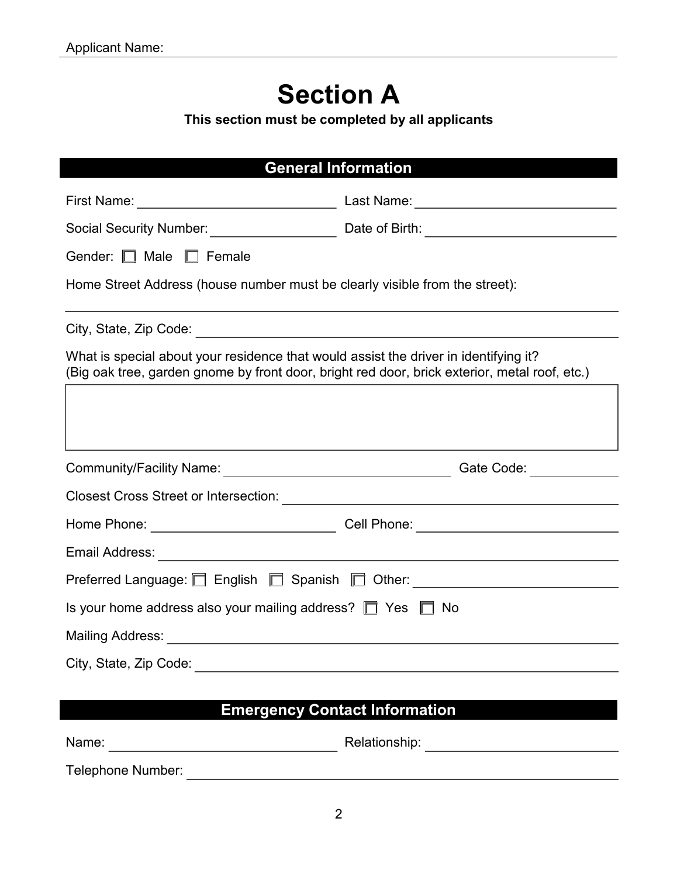# **Section A**

**This section must be completed by all applicants**

## **General Information**

| First Name: ______________________________                                                                                                                                            | Last Name: _______________________________                                                           |
|---------------------------------------------------------------------------------------------------------------------------------------------------------------------------------------|------------------------------------------------------------------------------------------------------|
|                                                                                                                                                                                       | Social Security Number: __________________________________Date of Birth: ___________________________ |
| Gender: Male Female                                                                                                                                                                   |                                                                                                      |
| Home Street Address (house number must be clearly visible from the street):                                                                                                           |                                                                                                      |
|                                                                                                                                                                                       |                                                                                                      |
| What is special about your residence that would assist the driver in identifying it?<br>(Big oak tree, garden gnome by front door, bright red door, brick exterior, metal roof, etc.) |                                                                                                      |
|                                                                                                                                                                                       |                                                                                                      |
|                                                                                                                                                                                       |                                                                                                      |
|                                                                                                                                                                                       |                                                                                                      |
|                                                                                                                                                                                       |                                                                                                      |
|                                                                                                                                                                                       |                                                                                                      |
|                                                                                                                                                                                       | Preferred Language: □ English □ Spanish □ Other: ______________________________                      |
| Is your home address also your mailing address? $\Box$ Yes $\Box$ No                                                                                                                  |                                                                                                      |
|                                                                                                                                                                                       |                                                                                                      |
|                                                                                                                                                                                       |                                                                                                      |

## **Emergency Contact Information**

Name: Relationship: Telephone Number: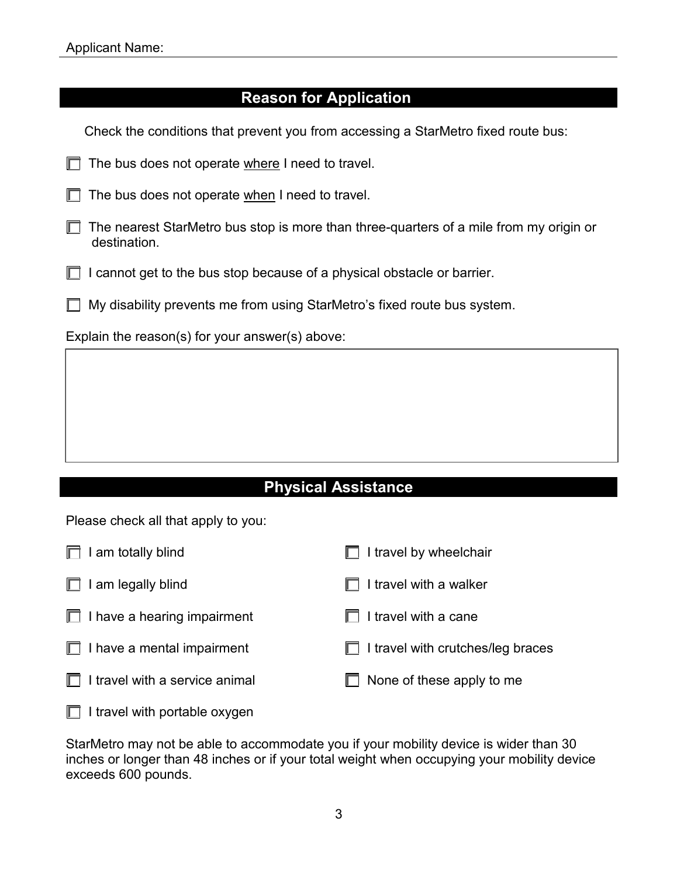### **Reason for Application**

Check the conditions that prevent you from accessing a StarMetro fixed route bus:  $\Box$  The bus does not operate where I need to travel.  $\Box$  The bus does not operate when I need to travel.  $\Box$  The nearest StarMetro bus stop is more than three-quarters of a mile from my origin or destination.

- $\Box$  I cannot get to the bus stop because of a physical obstacle or barrier.
- $\Box$  My disability prevents me from using StarMetro's fixed route bus system.

Explain the reason(s) for your answer(s) above:

### **Physical Assistance**

Please check all that apply to you:

| I am totally blind                 | I travel by wheelchair            |
|------------------------------------|-----------------------------------|
| I am legally blind<br>Ш            | I travel with a walker            |
| $\Box$ I have a hearing impairment | I travel with a cane              |
| $\Box$ I have a mental impairment  | I travel with crutches/leg braces |
| I travel with a service animal     | None of these apply to me         |
| I travel with portable oxygen      |                                   |

StarMetro may not be able to accommodate you if your mobility device is wider than 30 inches or longer than 48 inches or if your total weight when occupying your mobility device exceeds 600 pounds.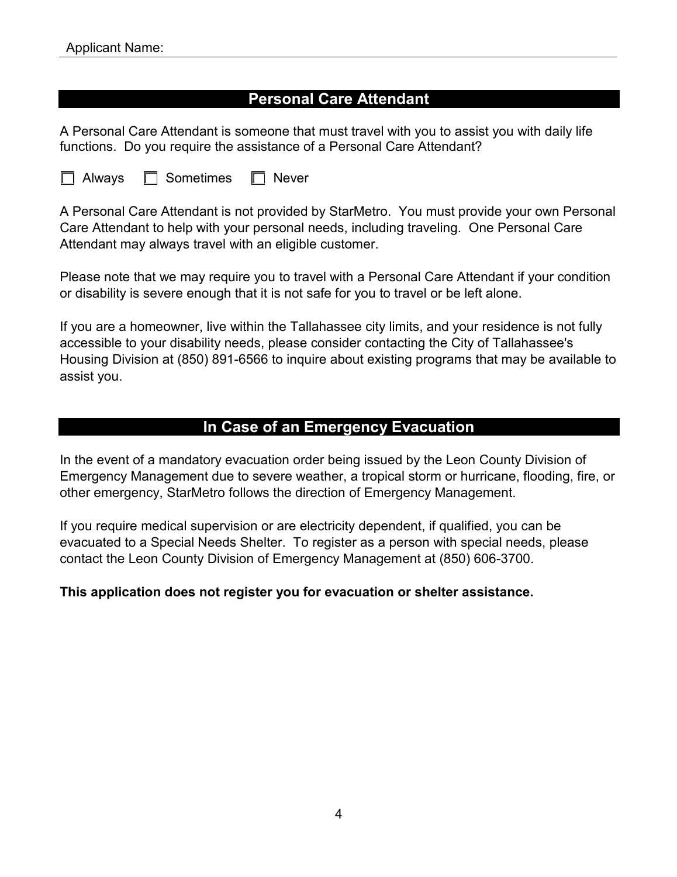### **Personal Care Attendant**

A Personal Care Attendant is someone that must travel with you to assist you with daily life functions. Do you require the assistance of a Personal Care Attendant?

| $\Box$ Always<br>$\Box$ Sometimes | $\Box$ Never |
|-----------------------------------|--------------|
|-----------------------------------|--------------|

A Personal Care Attendant is not provided by StarMetro. You must provide your own Personal Care Attendant to help with your personal needs, including traveling. One Personal Care Attendant may always travel with an eligible customer.

Please note that we may require you to travel with a Personal Care Attendant if your condition or disability is severe enough that it is not safe for you to travel or be left alone.

If you are a homeowner, live within the Tallahassee city limits, and your residence is not fully accessible to your disability needs, please consider contacting the City of Tallahassee's Housing Division at (850) 891-6566 to inquire about existing programs that may be available to assist you.

#### **In Case of an Emergency Evacuation**

In the event of a mandatory evacuation order being issued by the Leon County Division of Emergency Management due to severe weather, a tropical storm or hurricane, flooding, fire, or other emergency, StarMetro follows the direction of Emergency Management.

If you require medical supervision or are electricity dependent, if qualified, you can be evacuated to a Special Needs Shelter. To register as a person with special needs, please contact the Leon County Division of Emergency Management at (850) 606-3700.

#### **This application does not register you for evacuation or shelter assistance.**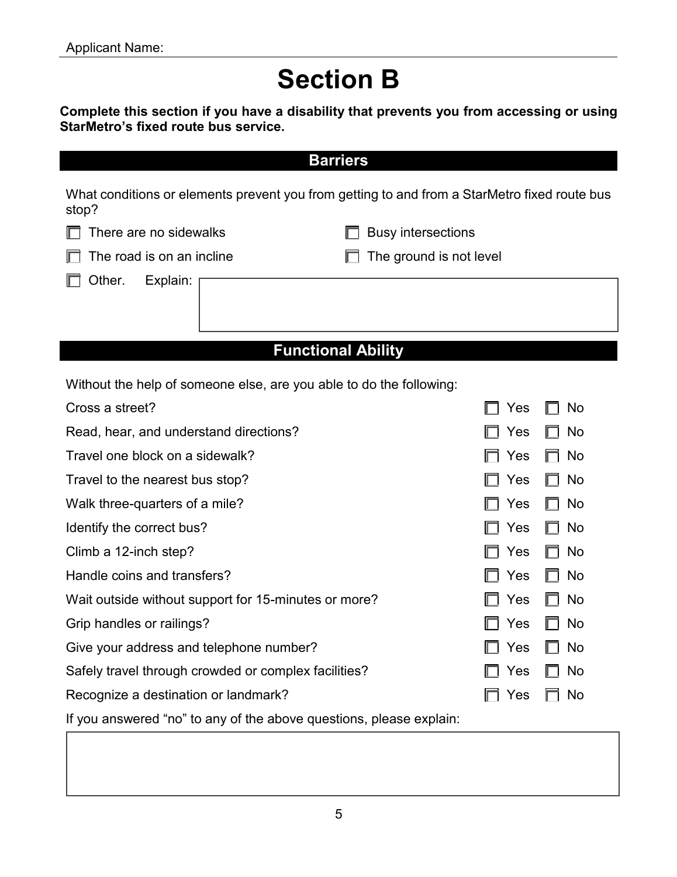# **Section B**

**Complete this section if you have a disability that prevents you from accessing or using StarMetro's fixed route bus service.**

| <b>Barriers</b>                                                                                       |                           |  |  |
|-------------------------------------------------------------------------------------------------------|---------------------------|--|--|
| What conditions or elements prevent you from getting to and from a StarMetro fixed route bus<br>stop? |                           |  |  |
| There are no sidewalks                                                                                | <b>Busy intersections</b> |  |  |
| The road is on an incline                                                                             | The ground is not level   |  |  |
| Other.<br>Explain:                                                                                    |                           |  |  |
| <b>Functional Ability</b>                                                                             |                           |  |  |
| Without the help of someone else, are you able to do the following:                                   |                           |  |  |
| Cross a street?                                                                                       | Yes<br>No                 |  |  |
| Read, hear, and understand directions?                                                                | Yes<br>No                 |  |  |
| Travel one block on a sidewalk?                                                                       | No<br>Yes                 |  |  |
| Travel to the nearest bus stop?                                                                       | Yes<br>No                 |  |  |
| Walk three-quarters of a mile?                                                                        | Yes<br>No                 |  |  |
| Identify the correct bus?                                                                             | No<br>Yes                 |  |  |
| Climb a 12-inch step?                                                                                 | Yes<br>No                 |  |  |
| Handle coins and transfers?                                                                           | No<br>Yes                 |  |  |
| Wait outside without support for 15-minutes or more?                                                  | No<br>Yes                 |  |  |
| Grip handles or railings?                                                                             | No<br>Yes                 |  |  |
| Give your address and telephone number?                                                               | Yes<br>No                 |  |  |
| Safely travel through crowded or complex facilities?                                                  | Yes<br>No                 |  |  |
| Recognize a destination or landmark?                                                                  | Yes<br>No                 |  |  |
| If you answered "no" to any of the above questions, please explain:                                   |                           |  |  |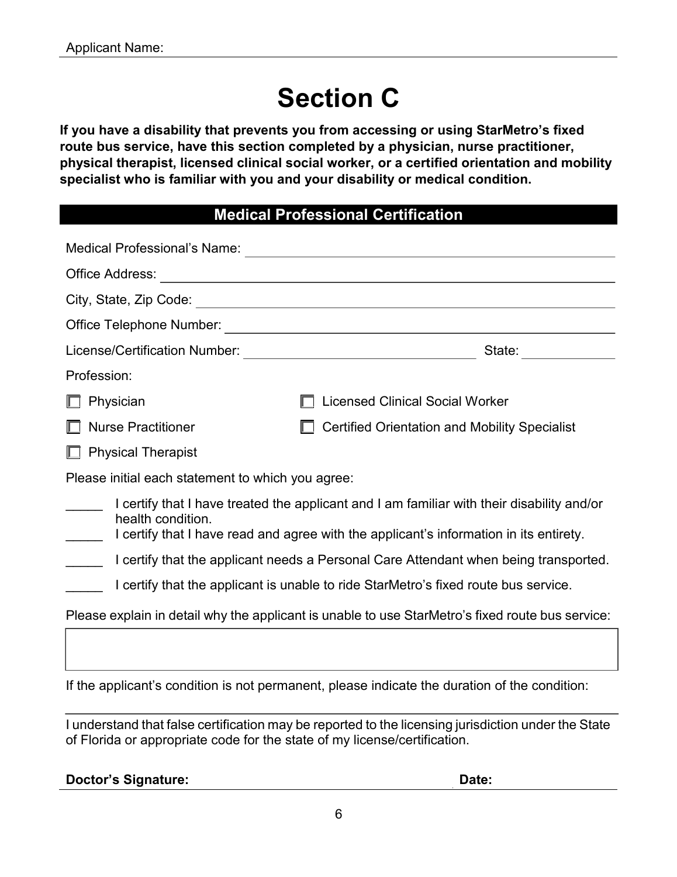# **Section C**

**If you have a disability that prevents you from accessing or using StarMetro's fixed route bus service, have this section completed by a physician, nurse practitioner, physical therapist, licensed clinical social worker, or a certified orientation and mobility specialist who is familiar with you and your disability or medical condition.**

### **Medical Professional Certification**

| Medical Professional's Name:                                                                                                                                                                              |                                                                                                  |  |
|-----------------------------------------------------------------------------------------------------------------------------------------------------------------------------------------------------------|--------------------------------------------------------------------------------------------------|--|
| Office Address:                                                                                                                                                                                           | <u> 1980 - Johann John Stein, fransk politik (f. 1980)</u>                                       |  |
|                                                                                                                                                                                                           |                                                                                                  |  |
|                                                                                                                                                                                                           |                                                                                                  |  |
|                                                                                                                                                                                                           | State:                                                                                           |  |
| Profession:                                                                                                                                                                                               |                                                                                                  |  |
| Physician                                                                                                                                                                                                 | <b>Licensed Clinical Social Worker</b>                                                           |  |
| <b>Nurse Practitioner</b>                                                                                                                                                                                 | <b>Certified Orientation and Mobility Specialist</b>                                             |  |
| <b>Physical Therapist</b>                                                                                                                                                                                 |                                                                                                  |  |
| Please initial each statement to which you agree:                                                                                                                                                         |                                                                                                  |  |
| I certify that I have treated the applicant and I am familiar with their disability and/or<br>health condition.<br>I certify that I have read and agree with the applicant's information in its entirety. |                                                                                                  |  |
|                                                                                                                                                                                                           | I certify that the applicant needs a Personal Care Attendant when being transported.             |  |
|                                                                                                                                                                                                           | I certify that the applicant is unable to ride StarMetro's fixed route bus service.              |  |
|                                                                                                                                                                                                           | Please explain in detail why the applicant is unable to use StarMetro's fixed route bus service: |  |

If the applicant's condition is not permanent, please indicate the duration of the condition:

I understand that false certification may be reported to the licensing jurisdiction under the State of Florida or appropriate code for the state of my license/certification.

| <b>Doctor's Signature:</b> | Date: |
|----------------------------|-------|
|                            |       |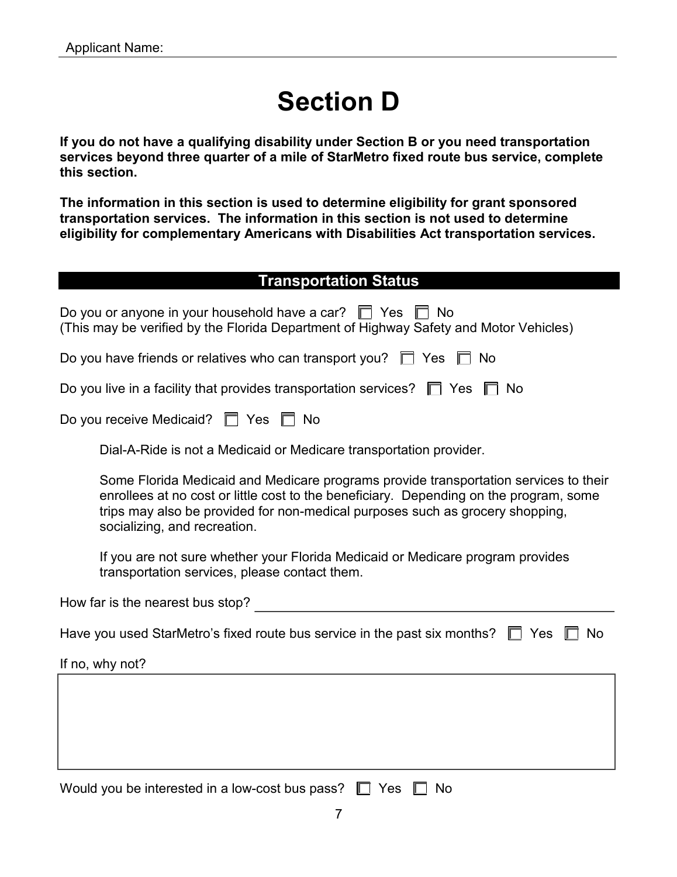# **Section D**

**If you do not have a qualifying disability under Section B or you need transportation services beyond three quarter of a mile of StarMetro fixed route bus service, complete this section.**

**The information in this section is used to determine eligibility for grant sponsored transportation services. The information in this section is not used to determine eligibility for complementary Americans with Disabilities Act transportation services.**

#### **Transportation Status**

| Do you or anyone in your household have a car? $\Box$ Yes $\Box$ No<br>(This may be verified by the Florida Department of Highway Safety and Motor Vehicles)                                                                                                                                    |
|-------------------------------------------------------------------------------------------------------------------------------------------------------------------------------------------------------------------------------------------------------------------------------------------------|
| Do you have friends or relatives who can transport you? $\Box$ Yes $\Box$ No                                                                                                                                                                                                                    |
| Do you live in a facility that provides transportation services? $\Box$ Yes $\Box$ No                                                                                                                                                                                                           |
| Do you receive Medicaid? □ Yes □ No                                                                                                                                                                                                                                                             |
| Dial-A-Ride is not a Medicaid or Medicare transportation provider.                                                                                                                                                                                                                              |
| Some Florida Medicaid and Medicare programs provide transportation services to their<br>enrollees at no cost or little cost to the beneficiary. Depending on the program, some<br>trips may also be provided for non-medical purposes such as grocery shopping,<br>socializing, and recreation. |
| If you are not sure whether your Florida Medicaid or Medicare program provides<br>transportation services, please contact them.                                                                                                                                                                 |
| How far is the nearest bus stop?                                                                                                                                                                                                                                                                |
| Have you used StarMetro's fixed route bus service in the past six months? $\Box$ Yes<br>No.                                                                                                                                                                                                     |
| If no, why not?                                                                                                                                                                                                                                                                                 |
|                                                                                                                                                                                                                                                                                                 |
|                                                                                                                                                                                                                                                                                                 |
|                                                                                                                                                                                                                                                                                                 |

| Would you be interested in a low-cost bus pass? $\square$ Yes $\square$ No |  |  |
|----------------------------------------------------------------------------|--|--|
|----------------------------------------------------------------------------|--|--|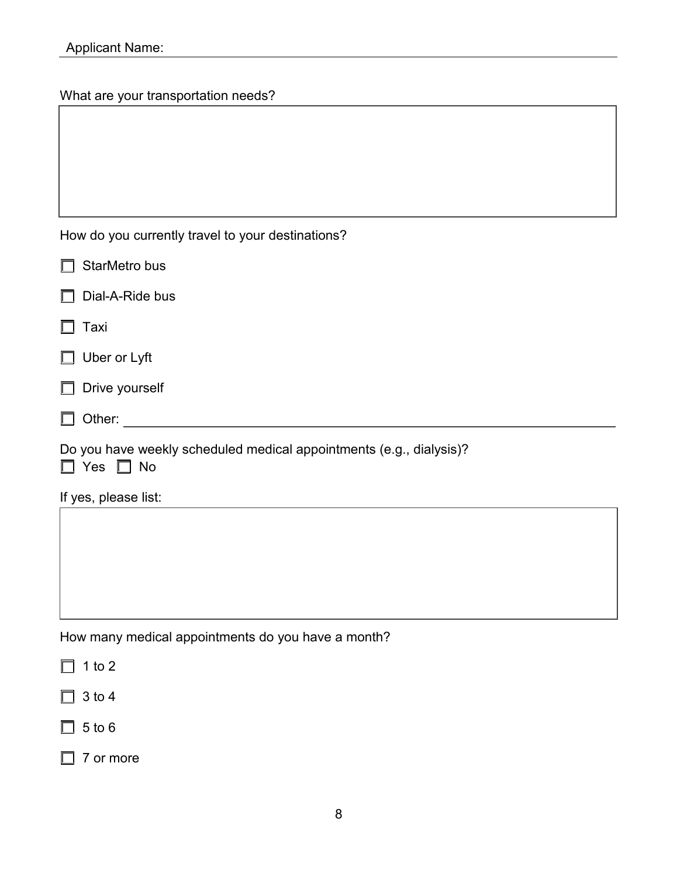What are your transportation needs?

|  |  |  | How do you currently travel to your destinations? |  |
|--|--|--|---------------------------------------------------|--|
|--|--|--|---------------------------------------------------|--|

| $\Box$<br>StarMetro bus                                                                     |
|---------------------------------------------------------------------------------------------|
| $\Box$<br>Dial-A-Ride bus                                                                   |
| $\Box$<br>Taxi                                                                              |
| $\Box$ Uber or Lyft                                                                         |
| $\Box$ Drive yourself                                                                       |
| $\Box$<br>Other:                                                                            |
| Do you have weekly scheduled medical appointments (e.g., dialysis)?<br>$\Box$ Yes $\Box$ No |
| If yes, please list:                                                                        |

How many medical appointments do you have a month?

 $\Box$  1 to 2

 $\Box$  3 to 4

 $\Box$  5 to 6

□ 7 or more